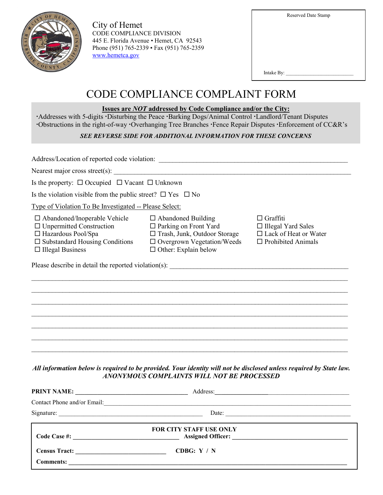| $c_{\boldsymbol{0}}$<br>IN <sub>T</sub> |
|-----------------------------------------|
|-----------------------------------------|

City of Hemet CODE COMPLIANCE DIVISION 445 E. Florida Avenue • Hemet, CA 92543 Phone (951) 765-2339 • Fax (951) 765-2359 [www.hemetca.gov](http://www.hemetca.gov/)

Intake By:  $\overline{\phantom{a}}$ 

# CODE COMPLIANCE COMPLAINT FORM

#### **Issues are** *NOT* **addressed by Code Compliance and/or the City:**

Addresses with 5-digits Disturbing the Peace Barking Dogs/Animal Control Landlord/Tenant Disputes Obstructions in the right-of-way Overhanging Tree Branches Fence Repair Disputes Enforcement of CC&R's

### *SEE REVERSE SIDE FOR ADDITIONAL INFORMATION FOR THESE CONCERNS*

Address/Location of reported code violation:

Nearest major cross street(s):

Is the property:  $\Box$  Occupied  $\Box$  Vacant  $\Box$  Unknown

Is the violation visible from the public street?  $\Box$  Yes  $\Box$  No

Type of Violation To Be Investigated -- Please Select:

| $\square$ Abandoned/Inoperable Ve |  |  |  |
|-----------------------------------|--|--|--|
|                                   |  |  |  |

- 
- 
- 
- $\Box$  Illegal Business  $\Box$  Other: Explain below

 $\Box$  Abandoned Building  $\Box$  Graffiti Unpermitted Construction Parking on Front Yard Illegal Yard Sales  $\Box$  Hazardous Pool/Spa  $\Box$  Trash, Junk, Outdoor Storage

| $\square$ Substandard Housing Conditions | $\Box$ Overgrown Vegetation/Weeds | $\Box$ Prohibited Animals |
|------------------------------------------|-----------------------------------|---------------------------|
| $\Box$ in :                              |                                   |                           |

\_\_\_\_\_\_\_\_\_\_\_\_\_\_\_\_\_\_\_\_\_\_\_\_\_\_\_\_\_\_\_\_\_\_\_\_\_\_\_\_\_\_\_\_\_\_\_\_\_\_\_\_\_\_\_\_\_\_\_\_\_\_\_\_\_\_\_\_\_\_\_\_\_\_\_\_\_\_\_\_\_\_\_\_\_\_\_\_\_\_\_\_  $\_$  ,  $\_$  ,  $\_$  ,  $\_$  ,  $\_$  ,  $\_$  ,  $\_$  ,  $\_$  ,  $\_$  ,  $\_$  ,  $\_$  ,  $\_$  ,  $\_$  ,  $\_$  ,  $\_$  ,  $\_$  ,  $\_$  ,  $\_$  ,  $\_$  ,  $\_$  ,  $\_$  ,  $\_$  ,  $\_$  ,  $\_$  ,  $\_$  ,  $\_$  ,  $\_$  ,  $\_$  ,  $\_$  ,  $\_$  ,  $\_$  ,  $\_$  ,  $\_$  ,  $\_$  ,  $\_$  ,  $\_$  ,  $\_$  ,  $\_$  $\_$  ,  $\_$  ,  $\_$  ,  $\_$  ,  $\_$  ,  $\_$  ,  $\_$  ,  $\_$  ,  $\_$  ,  $\_$  ,  $\_$  ,  $\_$  ,  $\_$  ,  $\_$  ,  $\_$  ,  $\_$  ,  $\_$  ,  $\_$  ,  $\_$  ,  $\_$  ,  $\_$  ,  $\_$  ,  $\_$  ,  $\_$  ,  $\_$  ,  $\_$  ,  $\_$  ,  $\_$  ,  $\_$  ,  $\_$  ,  $\_$  ,  $\_$  ,  $\_$  ,  $\_$  ,  $\_$  ,  $\_$  ,  $\_$  ,  $\_$  ,  $\_$  ,  $\_$  ,  $\_$  ,  $\_$  ,  $\_$  ,  $\_$  ,  $\_$  ,  $\_$  ,  $\_$  ,  $\_$  ,  $\_$  ,  $\_$  ,  $\_$  ,  $\_$  ,  $\_$  ,  $\_$  ,  $\_$  ,  $\_$  ,  $\_$  ,  $\_$  ,  $\_$  ,  $\_$  ,  $\_$  ,  $\_$  ,  $\_$  ,  $\_$  ,  $\_$  ,  $\_$  ,  $\_$  ,  $\_$  ,  $\_$  ,  $\_$  ,  $\_$  ,  $\_$  ,  $\_$  ,  $\_$  , \_\_\_\_\_\_\_\_\_\_\_\_\_\_\_\_\_\_\_\_\_\_\_\_\_\_\_\_\_\_\_\_\_\_\_\_\_\_\_\_\_\_\_\_\_\_\_\_\_\_\_\_\_\_\_\_\_\_\_\_\_\_\_\_\_\_\_\_\_\_\_\_\_\_\_\_\_\_\_\_\_\_\_\_\_\_\_\_\_\_\_\_  $\_$  ,  $\_$  ,  $\_$  ,  $\_$  ,  $\_$  ,  $\_$  ,  $\_$  ,  $\_$  ,  $\_$  ,  $\_$  ,  $\_$  ,  $\_$  ,  $\_$  ,  $\_$  ,  $\_$  ,  $\_$  ,  $\_$  ,  $\_$  ,  $\_$  ,  $\_$  ,  $\_$  ,  $\_$  ,  $\_$  ,  $\_$  ,  $\_$  ,  $\_$  ,  $\_$  ,  $\_$  ,  $\_$  ,  $\_$  ,  $\_$  ,  $\_$  ,  $\_$  ,  $\_$  ,  $\_$  ,  $\_$  ,  $\_$  ,

- 
- 
- 

Please describe in detail the reported violation(s): \_\_\_\_\_\_\_\_\_\_\_\_\_\_\_\_\_\_\_\_\_\_\_\_\_\_\_\_\_\_\_\_\_\_\_\_\_\_\_\_\_\_\_\_\_\_\_\_\_\_\_\_

*All information below is required to be provided. Your identity will not be disclosed unless required by State law. ANONYMOUS COMPLAINTS WILL NOT BE PROCESSED*

| PRINT NAME:                                                                                                                          | Address:                                                     | the control of the control of the control of the control of the control of the control of                            |
|--------------------------------------------------------------------------------------------------------------------------------------|--------------------------------------------------------------|----------------------------------------------------------------------------------------------------------------------|
|                                                                                                                                      | Contact Phone and/or Email: The contract Phone and/or Email: |                                                                                                                      |
| Signature:<br><u> 1989 - Johann Barn, margaret amerikan basar dan berasal di basa dan basar dalam basa dalam basa dalam basa da</u>  | Date:                                                        | <u> 1980 - Johann Barn, mars eta monte eta monte eta monte eta monte eta monte eta monte eta monte eta monte eta</u> |
| Code Case #:<br><u> 1980 - Jan Samuel Barbara, político establecente de la propia de la propia de la propia de la propia de la p</u> | <b>FOR CITY STAFF USE ONLY</b><br>Assigned Officer:          |                                                                                                                      |
| <b>Census Tract:</b>                                                                                                                 | CDBG: $Y / N$                                                |                                                                                                                      |
| <b>Comments:</b>                                                                                                                     |                                                              |                                                                                                                      |